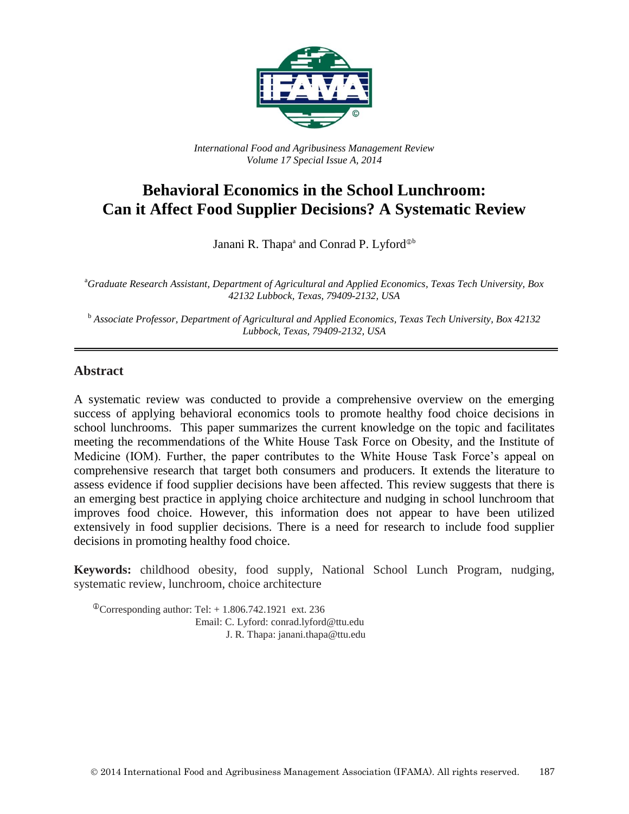

*International Food and Agribusiness Management Review Volume 17 Special Issue A, 2014*

# **Behavioral Economics in the School Lunchroom: Can it Affect Food Supplier Decisions? A Systematic Review**

Janani R. Thapa<sup>a</sup> and Conrad P. Lyford<sup>®b</sup>

<sup>a</sup>*Graduate Research Assistant, Department of Agricultural and Applied Economics, Texas Tech University, Box 42132 Lubbock, Texas, 79409-2132, USA*

<sup>b</sup> *Associate Professor, Department of Agricultural and Applied Economics, Texas Tech University, Box 42132 Lubbock, Texas, 79409-2132, USA*

#### **Abstract**

A systematic review was conducted to provide a comprehensive overview on the emerging success of applying behavioral economics tools to promote healthy food choice decisions in school lunchrooms. This paper summarizes the current knowledge on the topic and facilitates meeting the recommendations of the White House Task Force on Obesity, and the Institute of Medicine (IOM). Further, the paper contributes to the White House Task Force's appeal on comprehensive research that target both consumers and producers. It extends the literature to assess evidence if food supplier decisions have been affected. This review suggests that there is an emerging best practice in applying choice architecture and nudging in school lunchroom that improves food choice. However, this information does not appear to have been utilized extensively in food supplier decisions. There is a need for research to include food supplier decisions in promoting healthy food choice.

**Keywords:** childhood obesity, food supply, National School Lunch Program, nudging, systematic review, lunchroom, choice architecture

 $\textcirc{}$ Corresponding author: Tel: + 1.806.742.1921 ext. 236 Email: C. Lyford: conrad.lyford@ttu.edu J. R. Thapa: janani.thapa@ttu.edu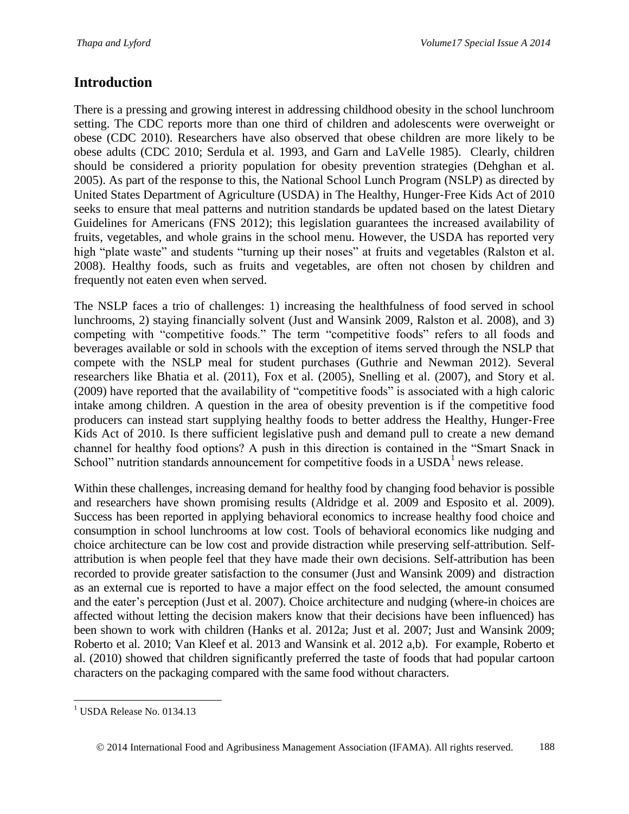# **Introduction**

There is a pressing and growing interest in addressing childhood obesity in the school lunchroom setting. The CDC reports more than one third of children and adolescents were overweight or obese (CDC 2010). Researchers have also observed that obese children are more likely to be obese adults (CDC 2010; Serdula et al. 1993, and Garn and LaVelle 1985). Clearly, children should be considered a priority population for obesity prevention strategies (Dehghan et al. 2005). As part of the response to this, the National School Lunch Program (NSLP) as directed by United States Department of Agriculture (USDA) in The Healthy, Hunger‐Free Kids Act of 2010 seeks to ensure that meal patterns and nutrition standards be updated based on the latest Dietary Guidelines for Americans (FNS 2012); this legislation guarantees the increased availability of fruits, vegetables, and whole grains in the school menu. However, the USDA has reported very high "plate waste" and students "turning up their noses" at fruits and vegetables (Ralston et al. 2008). Healthy foods, such as fruits and vegetables, are often not chosen by children and frequently not eaten even when served.

The NSLP faces a trio of challenges: 1) increasing the healthfulness of food served in school lunchrooms, 2) staying financially solvent (Just and Wansink 2009, Ralston et al. 2008), and 3) competing with "competitive foods." The term "competitive foods" refers to all foods and beverages available or sold in schools with the exception of items served through the NSLP that compete with the NSLP meal for student purchases (Guthrie and Newman 2012). Several researchers like Bhatia et al. (2011), Fox et al. (2005), Snelling et al. (2007), and Story et al. (2009) have reported that the availability of "competitive foods" is associated with a high caloric intake among children. A question in the area of obesity prevention is if the competitive food producers can instead start supplying healthy foods to better address the Healthy, Hunger‐Free Kids Act of 2010. Is there sufficient legislative push and demand pull to create a new demand channel for healthy food options? A push in this direction is contained in the "Smart Snack in School" nutrition standards announcement for competitive foods in a  $\text{USDA}^1$  news release.

Within these challenges, increasing demand for healthy food by changing food behavior is possible and researchers have shown promising results (Aldridge et al. 2009 and Esposito et al. 2009). Success has been reported in applying behavioral economics to increase healthy food choice and consumption in school lunchrooms at low cost. Tools of behavioral economics like nudging and choice architecture can be low cost and provide distraction while preserving self-attribution. Selfattribution is when people feel that they have made their own decisions. Self-attribution has been recorded to provide greater satisfaction to the consumer (Just and Wansink 2009) and distraction as an external cue is reported to have a major effect on the food selected, the amount consumed and the eater's perception (Just et al. 2007). Choice architecture and nudging (where-in choices are affected without letting the decision makers know that their decisions have been influenced) has been shown to work with children (Hanks et al. 2012a; Just et al. 2007; Just and Wansink 2009; Roberto et al. 2010; Van Kleef et al. 2013 and Wansink et al. 2012 a,b). For example, Roberto et al. (2010) showed that children significantly preferred the taste of foods that had popular cartoon characters on the packaging compared with the same food without characters.

l <sup>1</sup> USDA Release No. 0134.13

2014 International Food and Agribusiness Management Association (IFAMA). All rights reserved. 188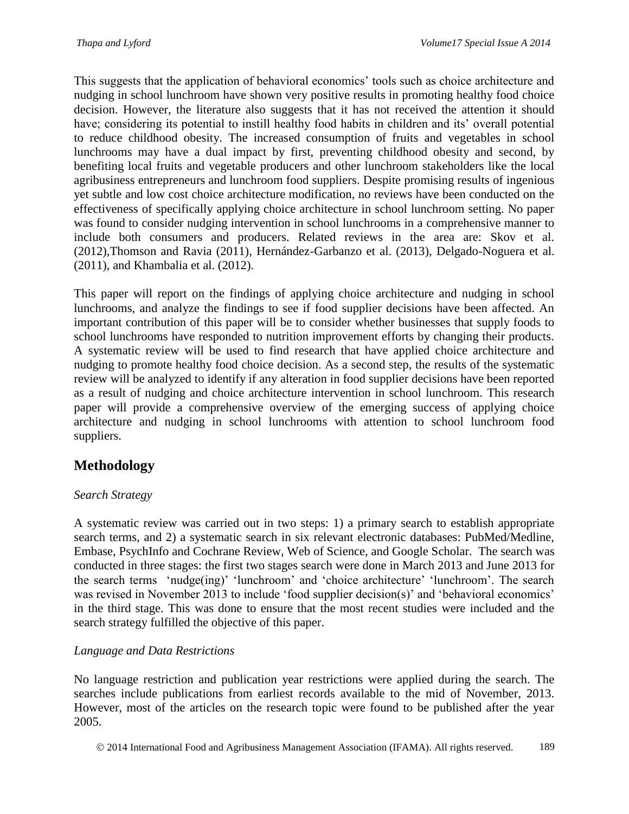This suggests that the application of behavioral economics' tools such as choice architecture and nudging in school lunchroom have shown very positive results in promoting healthy food choice decision. However, the literature also suggests that it has not received the attention it should have; considering its potential to instill healthy food habits in children and its' overall potential to reduce childhood obesity. The increased consumption of fruits and vegetables in school lunchrooms may have a dual impact by first, preventing childhood obesity and second, by benefiting local fruits and vegetable producers and other lunchroom stakeholders like the local agribusiness entrepreneurs and lunchroom food suppliers. Despite promising results of ingenious yet subtle and low cost choice architecture modification, no reviews have been conducted on the effectiveness of specifically applying choice architecture in school lunchroom setting. No paper was found to consider nudging intervention in school lunchrooms in a comprehensive manner to include both consumers and producers. Related reviews in the area are: Skov et al. (2012),Thomson and Ravia (2011), Hernández-Garbanzo et al. (2013), Delgado-Noguera et al. (2011), and Khambalia et al. (2012).

This paper will report on the findings of applying choice architecture and nudging in school lunchrooms, and analyze the findings to see if food supplier decisions have been affected. An important contribution of this paper will be to consider whether businesses that supply foods to school lunchrooms have responded to nutrition improvement efforts by changing their products. A systematic review will be used to find research that have applied choice architecture and nudging to promote healthy food choice decision. As a second step, the results of the systematic review will be analyzed to identify if any alteration in food supplier decisions have been reported as a result of nudging and choice architecture intervention in school lunchroom. This research paper will provide a comprehensive overview of the emerging success of applying choice architecture and nudging in school lunchrooms with attention to school lunchroom food suppliers.

# **Methodology**

## *Search Strategy*

A systematic review was carried out in two steps: 1) a primary search to establish appropriate search terms, and 2) a systematic search in six relevant electronic databases: PubMed/Medline, Embase, PsychInfo and Cochrane Review, Web of Science, and Google Scholar. The search was conducted in three stages: the first two stages search were done in March 2013 and June 2013 for the search terms 'nudge(ing)' 'lunchroom' and 'choice architecture' 'lunchroom'. The search was revised in November 2013 to include 'food supplier decision(s)' and 'behavioral economics' in the third stage. This was done to ensure that the most recent studies were included and the search strategy fulfilled the objective of this paper.

### *Language and Data Restrictions*

No language restriction and publication year restrictions were applied during the search. The searches include publications from earliest records available to the mid of November, 2013. However, most of the articles on the research topic were found to be published after the year 2005.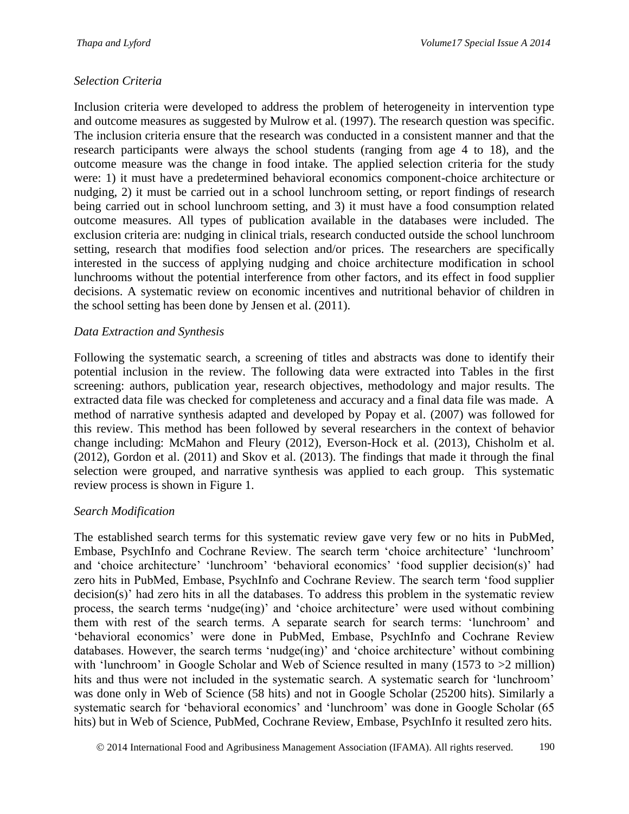### *Selection Criteria*

Inclusion criteria were developed to address the problem of heterogeneity in intervention type and outcome measures as suggested by Mulrow et al. (1997). The research question was specific. The inclusion criteria ensure that the research was conducted in a consistent manner and that the research participants were always the school students (ranging from age 4 to 18), and the outcome measure was the change in food intake. The applied selection criteria for the study were: 1) it must have a predetermined behavioral economics component-choice architecture or nudging, 2) it must be carried out in a school lunchroom setting, or report findings of research being carried out in school lunchroom setting, and 3) it must have a food consumption related outcome measures. All types of publication available in the databases were included. The exclusion criteria are: nudging in clinical trials, research conducted outside the school lunchroom setting, research that modifies food selection and/or prices. The researchers are specifically interested in the success of applying nudging and choice architecture modification in school lunchrooms without the potential interference from other factors, and its effect in food supplier decisions. A systematic review on economic incentives and nutritional behavior of children in the school setting has been done by Jensen et al. (2011).

### *Data Extraction and Synthesis*

Following the systematic search, a screening of titles and abstracts was done to identify their potential inclusion in the review. The following data were extracted into Tables in the first screening: authors, publication year, research objectives, methodology and major results. The extracted data file was checked for completeness and accuracy and a final data file was made. A method of narrative synthesis adapted and developed by Popay et al. (2007) was followed for this review. This method has been followed by several researchers in the context of behavior change including: McMahon and Fleury (2012), Everson-Hock et al. (2013), Chisholm et al. (2012), Gordon et al. (2011) and Skov et al. (2013). The findings that made it through the final selection were grouped, and narrative synthesis was applied to each group. This systematic review process is shown in Figure 1.

## *Search Modification*

The established search terms for this systematic review gave very few or no hits in PubMed, Embase, PsychInfo and Cochrane Review. The search term 'choice architecture' 'lunchroom' and 'choice architecture' 'lunchroom' 'behavioral economics' 'food supplier decision(s)' had zero hits in PubMed, Embase, PsychInfo and Cochrane Review. The search term 'food supplier decision(s)' had zero hits in all the databases. To address this problem in the systematic review process, the search terms 'nudge(ing)' and 'choice architecture' were used without combining them with rest of the search terms. A separate search for search terms: 'lunchroom' and 'behavioral economics' were done in PubMed, Embase, PsychInfo and Cochrane Review databases. However, the search terms 'nudge(ing)' and 'choice architecture' without combining with 'lunchroom' in Google Scholar and Web of Science resulted in many (1573 to  $>2$  million) hits and thus were not included in the systematic search. A systematic search for 'lunchroom' was done only in Web of Science (58 hits) and not in Google Scholar (25200 hits). Similarly a systematic search for 'behavioral economics' and 'lunchroom' was done in Google Scholar (65 hits) but in Web of Science, PubMed, Cochrane Review, Embase, PsychInfo it resulted zero hits.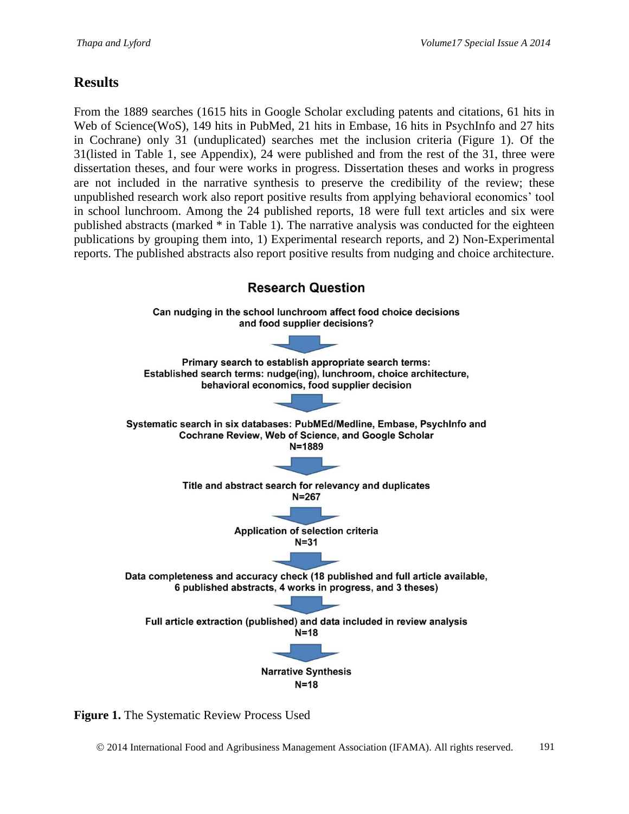# **Results**

From the 1889 searches (1615 hits in Google Scholar excluding patents and citations, 61 hits in Web of Science(WoS), 149 hits in PubMed, 21 hits in Embase, 16 hits in PsychInfo and 27 hits in Cochrane) only 31 (unduplicated) searches met the inclusion criteria (Figure 1). Of the 31(listed in Table 1, see Appendix), 24 were published and from the rest of the 31, three were dissertation theses, and four were works in progress. Dissertation theses and works in progress are not included in the narrative synthesis to preserve the credibility of the review; these unpublished research work also report positive results from applying behavioral economics' tool in school lunchroom. Among the 24 published reports, 18 were full text articles and six were published abstracts (marked \* in Table 1). The narrative analysis was conducted for the eighteen publications by grouping them into, 1) Experimental research reports, and 2) Non-Experimental reports. The published abstracts also report positive results from nudging and choice architecture.



**Figure 1.** The Systematic Review Process Used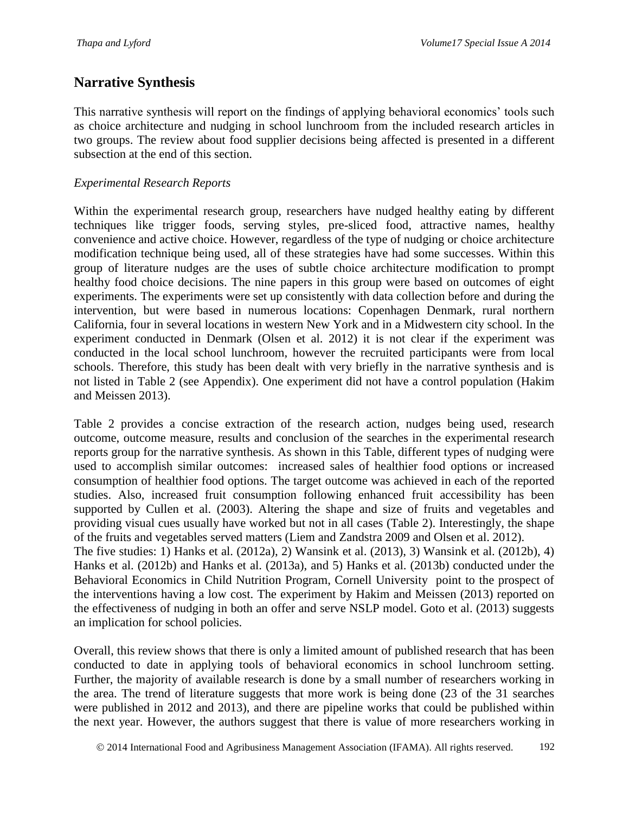# **Narrative Synthesis**

This narrative synthesis will report on the findings of applying behavioral economics' tools such as choice architecture and nudging in school lunchroom from the included research articles in two groups. The review about food supplier decisions being affected is presented in a different subsection at the end of this section.

### *Experimental Research Reports*

Within the experimental research group, researchers have nudged healthy eating by different techniques like trigger foods, serving styles, pre-sliced food, attractive names, healthy convenience and active choice. However, regardless of the type of nudging or choice architecture modification technique being used, all of these strategies have had some successes. Within this group of literature nudges are the uses of subtle choice architecture modification to prompt healthy food choice decisions. The nine papers in this group were based on outcomes of eight experiments. The experiments were set up consistently with data collection before and during the intervention, but were based in numerous locations: Copenhagen Denmark, rural northern California, four in several locations in western New York and in a Midwestern city school. In the experiment conducted in Denmark (Olsen et al. 2012) it is not clear if the experiment was conducted in the local school lunchroom, however the recruited participants were from local schools. Therefore, this study has been dealt with very briefly in the narrative synthesis and is not listed in Table 2 (see Appendix). One experiment did not have a control population (Hakim and Meissen 2013).

Table 2 provides a concise extraction of the research action, nudges being used, research outcome, outcome measure, results and conclusion of the searches in the experimental research reports group for the narrative synthesis. As shown in this Table, different types of nudging were used to accomplish similar outcomes: increased sales of healthier food options or increased consumption of healthier food options. The target outcome was achieved in each of the reported studies. Also, increased fruit consumption following enhanced fruit accessibility has been supported by Cullen et al. (2003). Altering the shape and size of fruits and vegetables and providing visual cues usually have worked but not in all cases (Table 2). Interestingly, the shape of the fruits and vegetables served matters (Liem and Zandstra 2009 and Olsen et al. 2012).

The five studies: 1) Hanks et al. (2012a), 2) Wansink et al. (2013), 3) Wansink et al. (2012b), 4) Hanks et al. (2012b) and Hanks et al. (2013a), and 5) Hanks et al. (2013b) conducted under the Behavioral Economics in Child Nutrition Program, Cornell University point to the prospect of the interventions having a low cost. The experiment by Hakim and Meissen (2013) reported on the effectiveness of nudging in both an offer and serve NSLP model. Goto et al. (2013) suggests an implication for school policies.

Overall, this review shows that there is only a limited amount of published research that has been conducted to date in applying tools of behavioral economics in school lunchroom setting. Further, the majority of available research is done by a small number of researchers working in the area. The trend of literature suggests that more work is being done (23 of the 31 searches were published in 2012 and 2013), and there are pipeline works that could be published within the next year. However, the authors suggest that there is value of more researchers working in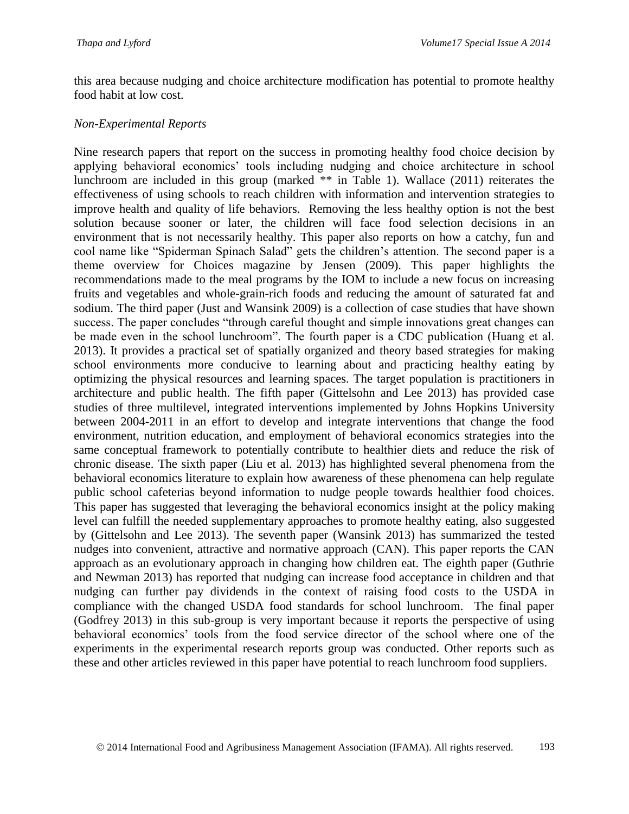this area because nudging and choice architecture modification has potential to promote healthy food habit at low cost.

#### *Non-Experimental Reports*

Nine research papers that report on the success in promoting healthy food choice decision by applying behavioral economics' tools including nudging and choice architecture in school lunchroom are included in this group (marked \*\* in Table 1). Wallace (2011) reiterates the effectiveness of using schools to reach children with information and intervention strategies to improve health and quality of life behaviors. Removing the less healthy option is not the best solution because sooner or later, the children will face food selection decisions in an environment that is not necessarily healthy. This paper also reports on how a catchy, fun and cool name like "Spiderman Spinach Salad" gets the children's attention. The second paper is a theme overview for Choices magazine by Jensen (2009). This paper highlights the recommendations made to the meal programs by the IOM to include a new focus on increasing fruits and vegetables and whole-grain-rich foods and reducing the amount of saturated fat and sodium. The third paper (Just and Wansink 2009) is a collection of case studies that have shown success. The paper concludes "through careful thought and simple innovations great changes can be made even in the school lunchroom". The fourth paper is a CDC publication (Huang et al. 2013). It provides a practical set of spatially organized and theory based strategies for making school environments more conducive to learning about and practicing healthy eating by optimizing the physical resources and learning spaces. The target population is practitioners in architecture and public health. The fifth paper (Gittelsohn and Lee 2013) has provided case studies of three multilevel, integrated interventions implemented by Johns Hopkins University between 2004-2011 in an effort to develop and integrate interventions that change the food environment, nutrition education, and employment of behavioral economics strategies into the same conceptual framework to potentially contribute to healthier diets and reduce the risk of chronic disease. The sixth paper (Liu et al. 2013) has highlighted several phenomena from the behavioral economics literature to explain how awareness of these phenomena can help regulate public school cafeterias beyond information to nudge people towards healthier food choices. This paper has suggested that leveraging the behavioral economics insight at the policy making level can fulfill the needed supplementary approaches to promote healthy eating, also suggested by (Gittelsohn and Lee 2013). The seventh paper (Wansink 2013) has summarized the tested nudges into convenient, attractive and normative approach (CAN). This paper reports the CAN approach as an evolutionary approach in changing how children eat. The eighth paper (Guthrie and Newman 2013) has reported that nudging can increase food acceptance in children and that nudging can further pay dividends in the context of raising food costs to the USDA in compliance with the changed USDA food standards for school lunchroom. The final paper (Godfrey 2013) in this sub-group is very important because it reports the perspective of using behavioral economics' tools from the food service director of the school where one of the experiments in the experimental research reports group was conducted. Other reports such as these and other articles reviewed in this paper have potential to reach lunchroom food suppliers.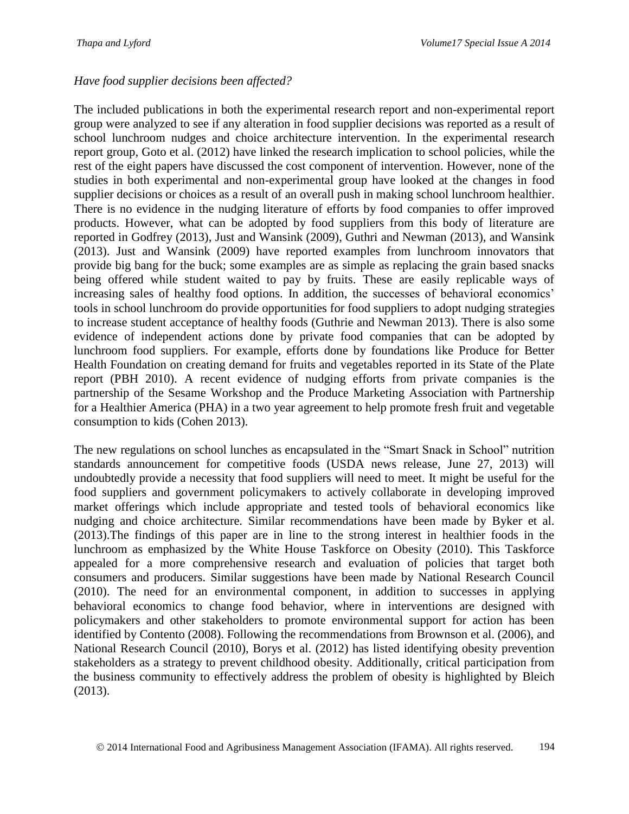### *Have food supplier decisions been affected?*

The included publications in both the experimental research report and non-experimental report group were analyzed to see if any alteration in food supplier decisions was reported as a result of school lunchroom nudges and choice architecture intervention. In the experimental research report group, Goto et al. (2012) have linked the research implication to school policies, while the rest of the eight papers have discussed the cost component of intervention. However, none of the studies in both experimental and non-experimental group have looked at the changes in food supplier decisions or choices as a result of an overall push in making school lunchroom healthier. There is no evidence in the nudging literature of efforts by food companies to offer improved products. However, what can be adopted by food suppliers from this body of literature are reported in Godfrey (2013), Just and Wansink (2009), Guthri and Newman (2013), and Wansink (2013). Just and Wansink (2009) have reported examples from lunchroom innovators that provide big bang for the buck; some examples are as simple as replacing the grain based snacks being offered while student waited to pay by fruits. These are easily replicable ways of increasing sales of healthy food options. In addition, the successes of behavioral economics' tools in school lunchroom do provide opportunities for food suppliers to adopt nudging strategies to increase student acceptance of healthy foods (Guthrie and Newman 2013). There is also some evidence of independent actions done by private food companies that can be adopted by lunchroom food suppliers. For example, efforts done by foundations like Produce for Better Health Foundation on creating demand for fruits and vegetables reported in its State of the Plate report (PBH 2010). A recent evidence of nudging efforts from private companies is the partnership of the Sesame Workshop and the Produce Marketing Association with Partnership for a Healthier America (PHA) in a two year agreement to help promote fresh fruit and vegetable consumption to kids (Cohen 2013).

The new regulations on school lunches as encapsulated in the "Smart Snack in School" nutrition standards announcement for competitive foods (USDA news release, June 27, 2013) will undoubtedly provide a necessity that food suppliers will need to meet. It might be useful for the food suppliers and government policymakers to actively collaborate in developing improved market offerings which include appropriate and tested tools of behavioral economics like nudging and choice architecture. Similar recommendations have been made by Byker et al. (2013).The findings of this paper are in line to the strong interest in healthier foods in the lunchroom as emphasized by the White House Taskforce on Obesity (2010). This Taskforce appealed for a more comprehensive research and evaluation of policies that target both consumers and producers. Similar suggestions have been made by National Research Council (2010). The need for an environmental component, in addition to successes in applying behavioral economics to change food behavior, where in interventions are designed with policymakers and other stakeholders to promote environmental support for action has been identified by Contento (2008). Following the recommendations from Brownson et al. (2006), and National Research Council (2010), Borys et al. (2012) has listed identifying obesity prevention stakeholders as a strategy to prevent childhood obesity. Additionally, critical participation from the business community to effectively address the problem of obesity is highlighted by Bleich (2013).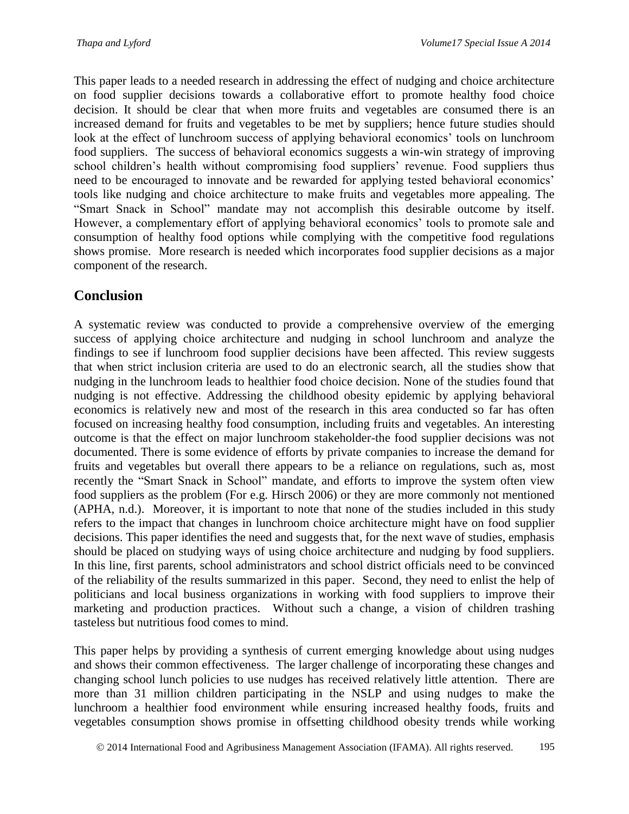This paper leads to a needed research in addressing the effect of nudging and choice architecture on food supplier decisions towards a collaborative effort to promote healthy food choice decision. It should be clear that when more fruits and vegetables are consumed there is an increased demand for fruits and vegetables to be met by suppliers; hence future studies should look at the effect of lunchroom success of applying behavioral economics' tools on lunchroom food suppliers. The success of behavioral economics suggests a win-win strategy of improving school children's health without compromising food suppliers' revenue. Food suppliers thus need to be encouraged to innovate and be rewarded for applying tested behavioral economics' tools like nudging and choice architecture to make fruits and vegetables more appealing. The "Smart Snack in School" mandate may not accomplish this desirable outcome by itself. However, a complementary effort of applying behavioral economics' tools to promote sale and consumption of healthy food options while complying with the competitive food regulations shows promise. More research is needed which incorporates food supplier decisions as a major component of the research.

# **Conclusion**

A systematic review was conducted to provide a comprehensive overview of the emerging success of applying choice architecture and nudging in school lunchroom and analyze the findings to see if lunchroom food supplier decisions have been affected. This review suggests that when strict inclusion criteria are used to do an electronic search, all the studies show that nudging in the lunchroom leads to healthier food choice decision. None of the studies found that nudging is not effective. Addressing the childhood obesity epidemic by applying behavioral economics is relatively new and most of the research in this area conducted so far has often focused on increasing healthy food consumption, including fruits and vegetables. An interesting outcome is that the effect on major lunchroom stakeholder-the food supplier decisions was not documented. There is some evidence of efforts by private companies to increase the demand for fruits and vegetables but overall there appears to be a reliance on regulations, such as, most recently the "Smart Snack in School" mandate, and efforts to improve the system often view food suppliers as the problem (For e.g. Hirsch 2006) or they are more commonly not mentioned (APHA, n.d.). Moreover, it is important to note that none of the studies included in this study refers to the impact that changes in lunchroom choice architecture might have on food supplier decisions. This paper identifies the need and suggests that, for the next wave of studies, emphasis should be placed on studying ways of using choice architecture and nudging by food suppliers. In this line, first parents, school administrators and school district officials need to be convinced of the reliability of the results summarized in this paper. Second, they need to enlist the help of politicians and local business organizations in working with food suppliers to improve their marketing and production practices. Without such a change, a vision of children trashing tasteless but nutritious food comes to mind.

This paper helps by providing a synthesis of current emerging knowledge about using nudges and shows their common effectiveness. The larger challenge of incorporating these changes and changing school lunch policies to use nudges has received relatively little attention. There are more than 31 million children participating in the NSLP and using nudges to make the lunchroom a healthier food environment while ensuring increased healthy foods, fruits and vegetables consumption shows promise in offsetting childhood obesity trends while working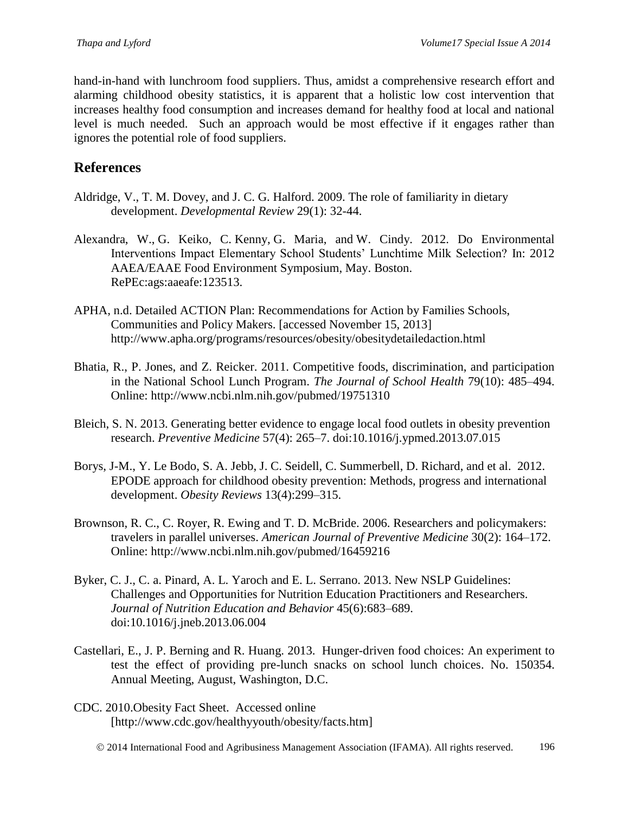hand-in-hand with lunchroom food suppliers. Thus, amidst a comprehensive research effort and alarming childhood obesity statistics, it is apparent that a holistic low cost intervention that increases healthy food consumption and increases demand for healthy food at local and national level is much needed. Such an approach would be most effective if it engages rather than ignores the potential role of food suppliers.

# **References**

- Aldridge, V., T. M. Dovey, and J. C. G. Halford. 2009. The role of familiarity in dietary development. *Developmental Review* 29(1): 32-44.
- Alexandra, W., G. Keiko, C. Kenny, G. Maria, and W. Cindy. 2012. Do Environmental Interventions Impact Elementary School Students' Lunchtime Milk Selection? In: 2012 AAEA/EAAE Food Environment Symposium, May. Boston. RePEc:ags:aaeafe:123513.
- APHA, n.d. Detailed ACTION Plan: Recommendations for Action by Families Schools, Communities and Policy Makers. [accessed November 15, 2013] http://www.apha.org/programs/resources/obesity/obesitydetailedaction.html
- Bhatia, R., P. Jones, and Z. Reicker. 2011. Competitive foods, discrimination, and participation in the National School Lunch Program. *The Journal of School Health* 79(10): 485–494. Online: http://www.ncbi.nlm.nih.gov/pubmed/19751310
- Bleich, S. N. 2013. Generating better evidence to engage local food outlets in obesity prevention research. *Preventive Medicine* 57(4): 265–7. doi:10.1016/j.ypmed.2013.07.015
- Borys, J-M., Y. Le Bodo, S. A. Jebb, J. C. Seidell, C. Summerbell, D. Richard, and et al. 2012. EPODE approach for childhood obesity prevention: Methods, progress and international development. *Obesity Reviews* 13(4):299–315.
- Brownson, R. C., C. Royer, R. Ewing and T. D. McBride. 2006. Researchers and policymakers: travelers in parallel universes. *American Journal of Preventive Medicine* 30(2): 164–172. Online: http://www.ncbi.nlm.nih.gov/pubmed/16459216
- Byker, C. J., C. a. Pinard, A. L. Yaroch and E. L. Serrano. 2013. New NSLP Guidelines: Challenges and Opportunities for Nutrition Education Practitioners and Researchers. *Journal of Nutrition Education and Behavior* 45(6):683–689. doi:10.1016/j.jneb.2013.06.004
- Castellari, E., J. P. Berning and R. Huang. 2013. [Hunger-driven food choices: An experiment to](http://econpapers.repec.org/RePEc:ags:aaea13:150354)  [test the effect of providing pre-lunch snacks on school lunch choices.](http://econpapers.repec.org/RePEc:ags:aaea13:150354) No. 150354. Annual Meeting, August, Washington, D.C.
- CDC. 2010.Obesity Fact Sheet. Accessed online [http://www.cdc.gov/healthyyouth/obesity/facts.htm]
	- 2014 International Food and Agribusiness Management Association (IFAMA). All rights reserved. 196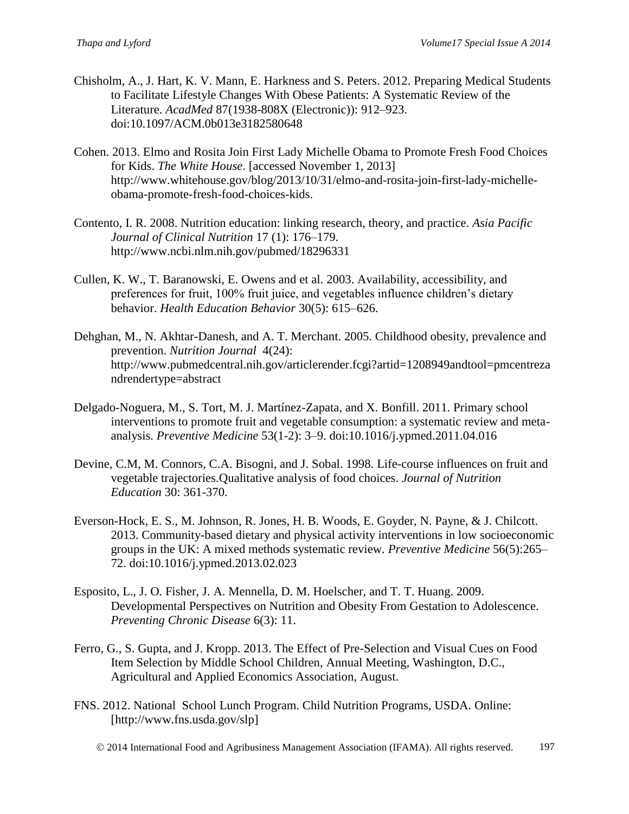- Chisholm, A., J. Hart, K. V. Mann, E. Harkness and S. Peters. 2012. Preparing Medical Students to Facilitate Lifestyle Changes With Obese Patients: A Systematic Review of the Literature. *AcadMed* 87(1938-808X (Electronic)): 912–923. doi:10.1097/ACM.0b013e3182580648
- Cohen. 2013. Elmo and Rosita Join First Lady Michelle Obama to Promote Fresh Food Choices for Kids. *The White House*. [accessed November 1, 2013] http://www.whitehouse.gov/blog/2013/10/31/elmo-and-rosita-join-first-lady-michelleobama-promote-fresh-food-choices-kids.
- Contento, I. R. 2008. Nutrition education: linking research, theory, and practice. *Asia Pacific Journal of Clinical Nutrition* 17 (1): 176–179. http://www.ncbi.nlm.nih.gov/pubmed/18296331
- Cullen, K. W., T. Baranowski, E. Owens and et al. 2003. Availability, accessibility, and preferences for fruit, 100% fruit juice, and vegetables influence children's dietary behavior. *Health Education Behavior* 30(5): 615–626.
- Dehghan, M., N. Akhtar-Danesh, and A. T. Merchant. 2005. Childhood obesity, prevalence and prevention. *Nutrition Journal* 4(24): http://www.pubmedcentral.nih.gov/articlerender.fcgi?artid=1208949andtool=pmcentreza ndrendertype=abstract
- Delgado-Noguera, M., S. Tort, M. J. Martínez-Zapata, and X. Bonfill. 2011. Primary school interventions to promote fruit and vegetable consumption: a systematic review and metaanalysis. *Preventive Medicine* 53(1-2): 3–9. doi:10.1016/j.ypmed.2011.04.016
- Devine, C.M, M. Connors, C.A. Bisogni, and J. Sobal. 1998. Life-course influences on fruit and vegetable trajectories.Qualitative analysis of food choices. *Journal of Nutrition Education* 30: 361-370.
- Everson-Hock, E. S., M. Johnson, R. Jones, H. B. Woods, E. Goyder, N. Payne, & J. Chilcott. 2013. Community-based dietary and physical activity interventions in low socioeconomic groups in the UK: A mixed methods systematic review. *Preventive Medicine* 56(5):265– 72. doi:10.1016/j.ypmed.2013.02.023
- Esposito, L., J. O. Fisher, J. A. Mennella, D. M. Hoelscher, and T. T. Huang. 2009. Developmental Perspectives on Nutrition and Obesity From Gestation to Adolescence. *Preventing Chronic Disease* 6(3): 11.
- Ferro, G., S. Gupta, and J. Kropp. 2013. The Effect of Pre-Selection and Visual Cues on Food Item Selection by Middle School Children, Annual Meeting, Washington, D.C., Agricultural and Applied Economics Association, August.
- FNS. 2012. National School Lunch Program. Child Nutrition Programs, USDA. Online: [http://www.fns.usda.gov/slp]

2014 International Food and Agribusiness Management Association (IFAMA). All rights reserved. 197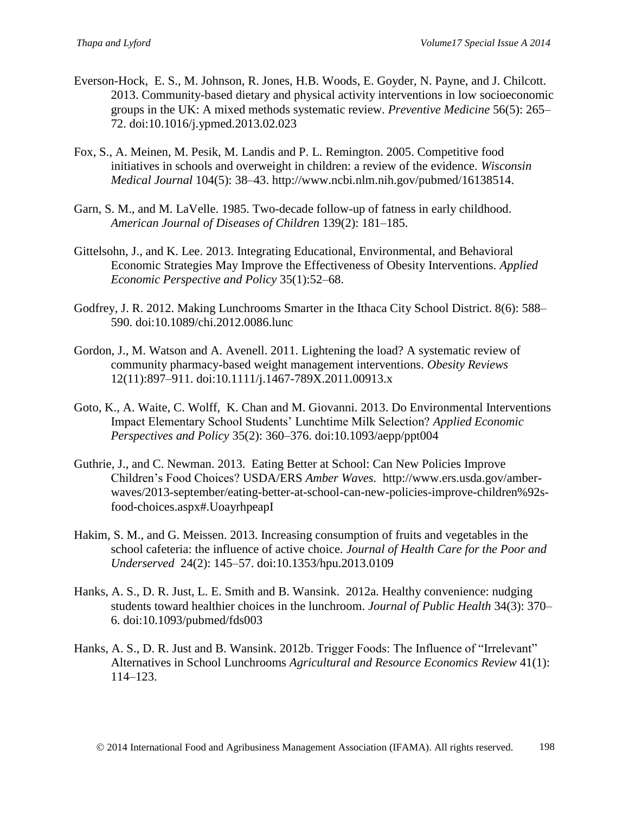- Everson-Hock, E. S., M. Johnson, R. Jones, H.B. Woods, E. Goyder, N. Payne, and J. Chilcott. 2013. Community-based dietary and physical activity interventions in low socioeconomic groups in the UK: A mixed methods systematic review. *Preventive Medicine* 56(5): 265– 72. doi:10.1016/j.ypmed.2013.02.023
- Fox, S., A. Meinen, M. Pesik, M. Landis and P. L. Remington. 2005. Competitive food initiatives in schools and overweight in children: a review of the evidence. *Wisconsin Medical Journal* 104(5): 38–43. http://www.ncbi.nlm.nih.gov/pubmed/16138514.
- Garn, S. M., and M. LaVelle. 1985. Two-decade follow-up of fatness in early childhood. *American Journal of Diseases of Children* 139(2): 181–185.
- Gittelsohn, J., and K. Lee. 2013. Integrating Educational, Environmental, and Behavioral Economic Strategies May Improve the Effectiveness of Obesity Interventions. *Applied Economic Perspective and Policy* 35(1):52–68.
- Godfrey, J. R. 2012. Making Lunchrooms Smarter in the Ithaca City School District. 8(6): 588– 590. doi:10.1089/chi.2012.0086.lunc
- Gordon, J., M. Watson and A. Avenell. 2011. Lightening the load? A systematic review of community pharmacy-based weight management interventions. *Obesity Reviews*  12(11):897–911. doi:10.1111/j.1467-789X.2011.00913.x
- Goto, K., A. Waite, C. Wolff, K. Chan and M. Giovanni. 2013. Do Environmental Interventions Impact Elementary School Students' Lunchtime Milk Selection? *Applied Economic Perspectives and Policy* 35(2): 360–376. doi:10.1093/aepp/ppt004
- Guthrie, J., and C. Newman. 2013. Eating Better at School: Can New Policies Improve Children's Food Choices? USDA/ERS *Amber Waves.* http://www.ers.usda.gov/amberwaves/2013-september/eating-better-at-school-can-new-policies-improve-children%92sfood-choices.aspx#.UoayrhpeapI
- Hakim, S. M., and G. Meissen. 2013. Increasing consumption of fruits and vegetables in the school cafeteria: the influence of active choice. *Journal of Health Care for the Poor and Underserved* 24(2): 145–57. doi:10.1353/hpu.2013.0109
- Hanks, A. S., D. R. Just, L. E. Smith and B. Wansink. 2012a. Healthy convenience: nudging students toward healthier choices in the lunchroom. *Journal of Public Health* 34(3): 370– 6. doi:10.1093/pubmed/fds003
- Hanks, A. S., D. R. Just and B. Wansink. 2012b. Trigger Foods: The Influence of "Irrelevant" Alternatives in School Lunchrooms *Agricultural and Resource Economics Review* 41(1): 114–123.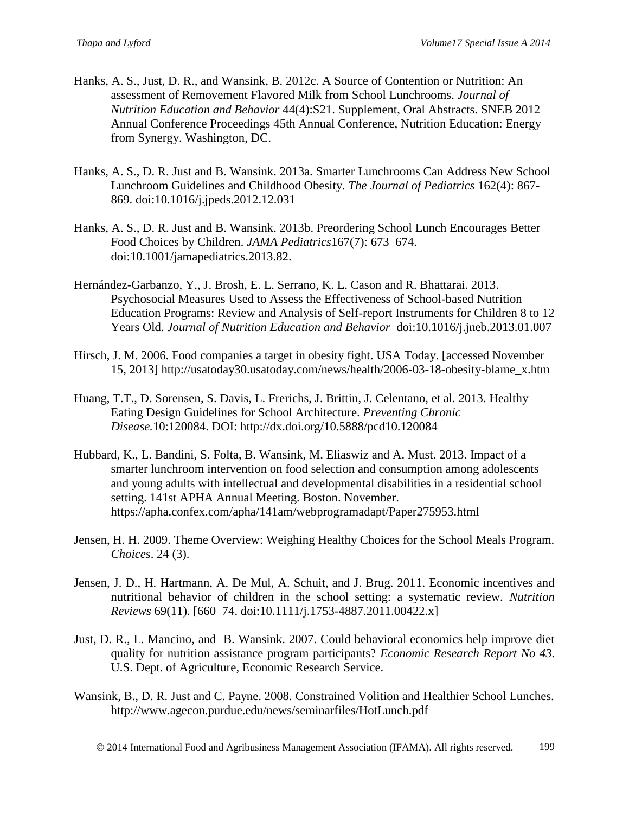- Hanks, A. S., Just, D. R., and Wansink, B. 2012c. A Source of Contention or Nutrition: An assessment of Removement Flavored Milk from School Lunchrooms. *Journal of Nutrition Education and Behavior* 44(4):S21. Supplement, Oral Abstracts. SNEB 2012 Annual Conference Proceedings 45th Annual Conference, Nutrition Education: Energy from Synergy. Washington, DC.
- Hanks, A. S., D. R. Just and B. Wansink. 2013a. Smarter Lunchrooms Can Address New School Lunchroom Guidelines and Childhood Obesity. *The Journal of Pediatrics* 162(4): 867- 869. doi:10.1016/j.jpeds.2012.12.031
- Hanks, A. S., D. R. Just and B. Wansink. 2013b. Preordering School Lunch Encourages Better Food Choices by Children. *JAMA Pediatrics*167(7): 673–674. doi:10.1001/jamapediatrics.2013.82.
- Hernández-Garbanzo, Y., J. Brosh, E. L. Serrano, K. L. Cason and R. Bhattarai. 2013. Psychosocial Measures Used to Assess the Effectiveness of School-based Nutrition Education Programs: Review and Analysis of Self-report Instruments for Children 8 to 12 Years Old. *Journal of Nutrition Education and Behavior* doi:10.1016/j.jneb.2013.01.007
- Hirsch, J. M. 2006. Food companies a target in obesity fight. USA Today. [accessed November 15, 2013] http://usatoday30.usatoday.com/news/health/2006-03-18-obesity-blame\_x.htm
- Huang, T.T., D. Sorensen, S. Davis, L. Frerichs, J. Brittin, J. Celentano, et al. 2013. Healthy Eating Design Guidelines for School Architecture. *Preventing Chronic Disease.*10:120084. DOI: http://dx.doi.org/10.5888/pcd10.120084
- Hubbard, K., L. Bandini, S. Folta, B. Wansink, M. Eliaswiz and A. Must. 2013. Impact of a smarter lunchroom intervention on food selection and consumption among adolescents and young adults with intellectual and developmental disabilities in a residential school setting. 141st APHA Annual Meeting. Boston. November. https://apha.confex.com/apha/141am/webprogramadapt/Paper275953.html
- Jensen, H. H. 2009. Theme Overview: Weighing Healthy Choices for the School Meals Program. *Choices*. 24 (3).
- Jensen, J. D., H. Hartmann, A. De Mul, A. Schuit, and J. Brug. 2011. Economic incentives and nutritional behavior of children in the school setting: a systematic review. *Nutrition Reviews* 69(11). [660–74. doi:10.1111/j.1753-4887.2011.00422.x]
- Just, D. R., L. Mancino, and B. Wansink. 2007. Could behavioral economics help improve diet quality for nutrition assistance program participants? *Economic Research Report No 43*. U.S. Dept. of Agriculture, Economic Research Service.
- Wansink, B., D. R. Just and C. Payne. 2008. Constrained Volition and Healthier School Lunches. http://www.agecon.purdue.edu/news/seminarfiles/HotLunch.pdf

2014 International Food and Agribusiness Management Association (IFAMA). All rights reserved. 199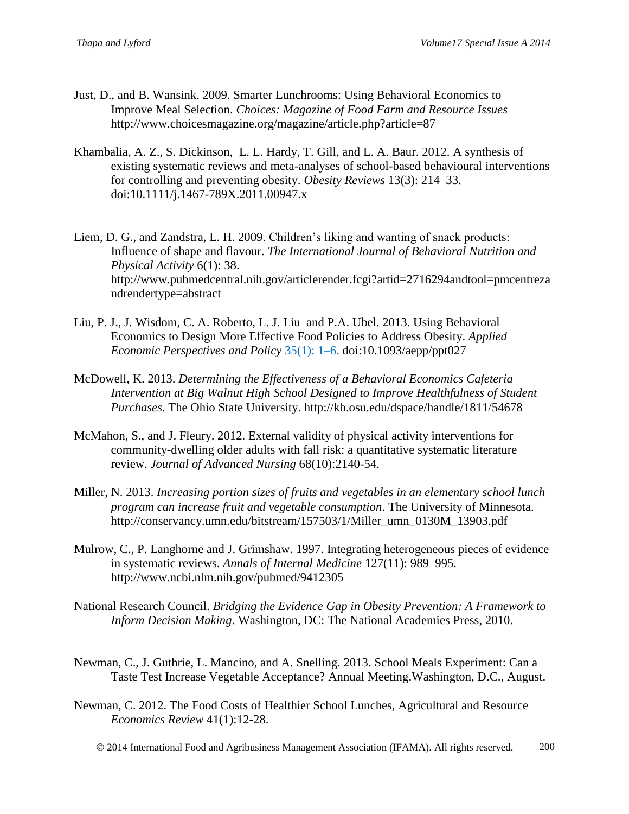- Just, D., and B. Wansink. 2009. Smarter Lunchrooms: Using Behavioral Economics to Improve Meal Selection. *Choices: Magazine of Food Farm and Resource Issues* http://www.choicesmagazine.org/magazine/article.php?article=87
- Khambalia, A. Z., S. Dickinson, L. L. Hardy, T. Gill, and L. A. Baur. 2012. A synthesis of existing systematic reviews and meta-analyses of school-based behavioural interventions for controlling and preventing obesity. *Obesity Reviews* 13(3): 214–33. doi:10.1111/j.1467-789X.2011.00947.x

Liem, D. G., and Zandstra, L. H. 2009. Children's liking and wanting of snack products: Influence of shape and flavour. *The International Journal of Behavioral Nutrition and Physical Activity* 6(1): 38. http://www.pubmedcentral.nih.gov/articlerender.fcgi?artid=2716294andtool=pmcentreza ndrendertype=abstract

- Liu, P. J., J. Wisdom, C. A. Roberto, L. J. Liu and P.A. Ubel. 2013. Using Behavioral Economics to Design More Effective Food Policies to Address Obesity. *Applied Economic Perspectives and Policy* 35(1): 1–6. doi:10.1093/aepp/ppt027
- McDowell, K. 2013. *Determining the Effectiveness of a Behavioral Economics Cafeteria Intervention at Big Walnut High School Designed to Improve Healthfulness of Student Purchases*. The Ohio State University. http://kb.osu.edu/dspace/handle/1811/54678
- McMahon, S., and J. Fleury. 2012. External validity of physical activity interventions for community-dwelling older adults with fall risk: a quantitative systematic literature review. *Journal of Advanced Nursing* 68(10):2140-54.
- Miller, N. 2013. *Increasing portion sizes of fruits and vegetables in an elementary school lunch program can increase fruit and vegetable consumption*. The University of Minnesota. http://conservancy.umn.edu/bitstream/157503/1/Miller\_umn\_0130M\_13903.pdf
- Mulrow, C., P. Langhorne and J. Grimshaw. 1997. Integrating heterogeneous pieces of evidence in systematic reviews. *Annals of Internal Medicine* 127(11): 989–995. http://www.ncbi.nlm.nih.gov/pubmed/9412305
- National Research Council. *Bridging the Evidence Gap in Obesity Prevention: A Framework to Inform Decision Making*. Washington, DC: The National Academies Press, 2010.
- Newman, C., J. Guthrie, L. Mancino, and A. Snelling. 2013. School Meals Experiment: Can a Taste Test Increase Vegetable Acceptance? Annual Meeting.Washington, D.C., August.
- Newman, C. 2012. The Food Costs of Healthier School Lunches, Agricultural and Resource *Economics Review* 41(1):12-28.
	- 2014 International Food and Agribusiness Management Association (IFAMA). All rights reserved. 200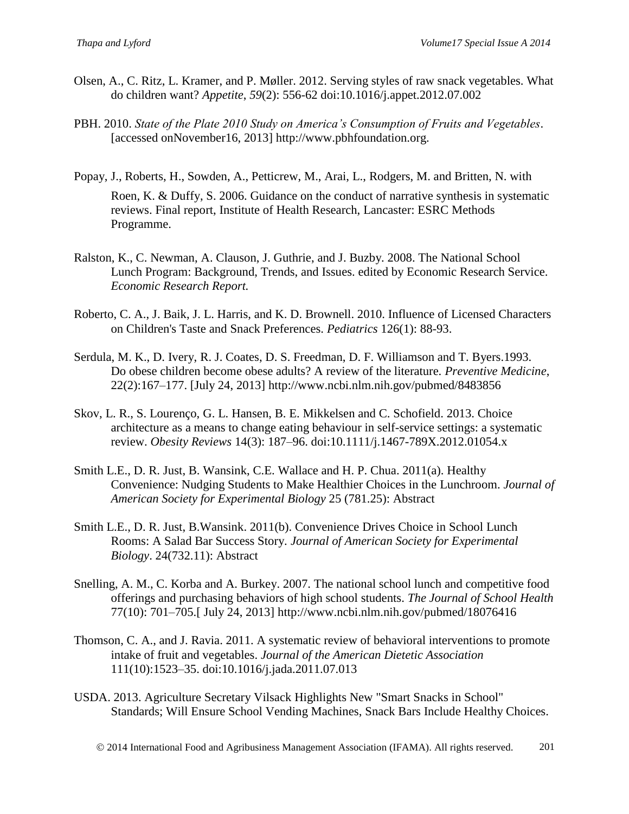- Olsen, A., C. Ritz, L. Kramer, and P. Møller. 2012. Serving styles of raw snack vegetables. What do children want? *Appetite*, *59*(2): 556-62 doi:10.1016/j.appet.2012.07.002
- PBH. 2010. *State of the Plate 2010 Study on America's Consumption of Fruits and Vegetables*. [accessed onNovember16, 2013] http://www.pbhfoundation.org.
- Popay, J., Roberts, H., Sowden, A., Petticrew, M., Arai, L., Rodgers, M. and Britten, N. with Roen, K. & Duffy, S. 2006. Guidance on the conduct of narrative synthesis in systematic reviews. Final report, Institute of Health Research, Lancaster: ESRC Methods Programme.
- Ralston, K., C. Newman, A. Clauson, J. Guthrie, and J. Buzby. 2008. The National School Lunch Program: Background, Trends, and Issues. edited by Economic Research Service. *Economic Research Report.*
- Roberto, C. A., J. Baik, J. L. Harris, and K. D. Brownell. 2010. Influence of Licensed Characters on Children's Taste and Snack Preferences. *Pediatrics* 126(1): 88-93.
- Serdula, M. K., D. Ivery, R. J. Coates, D. S. Freedman, D. F. Williamson and T. Byers.1993. Do obese children become obese adults? A review of the literature. *Preventive Medicine*, 22(2):167–177. [July 24, 2013] http://www.ncbi.nlm.nih.gov/pubmed/8483856
- Skov, L. R., S. Lourenço, G. L. Hansen, B. E. Mikkelsen and C. Schofield. 2013. Choice architecture as a means to change eating behaviour in self-service settings: a systematic review. *Obesity Reviews* 14(3): 187–96. doi:10.1111/j.1467-789X.2012.01054.x
- Smith L.E., D. R. Just, B. Wansink, C.E. Wallace and H. P. Chua. 2011(a). Healthy Convenience: Nudging Students to Make Healthier Choices in the Lunchroom. *Journal of American Society for Experimental Biology* 25 (781.25): Abstract
- Smith L.E., D. R. Just, B.Wansink. 2011(b). Convenience Drives Choice in School Lunch Rooms: A Salad Bar Success Story. *Journal of American Society for Experimental Biology*. 24(732.11): Abstract
- Snelling, A. M., C. Korba and A. Burkey. 2007. The national school lunch and competitive food offerings and purchasing behaviors of high school students. *The Journal of School Health* 77(10): 701–705.[ July 24, 2013] http://www.ncbi.nlm.nih.gov/pubmed/18076416
- Thomson, C. A., and J. Ravia. 2011. A systematic review of behavioral interventions to promote intake of fruit and vegetables. *Journal of the American Dietetic Association* 111(10):1523–35. doi:10.1016/j.jada.2011.07.013
- USDA. 2013. Agriculture Secretary Vilsack Highlights New "Smart Snacks in School" Standards; Will Ensure School Vending Machines, Snack Bars Include Healthy Choices.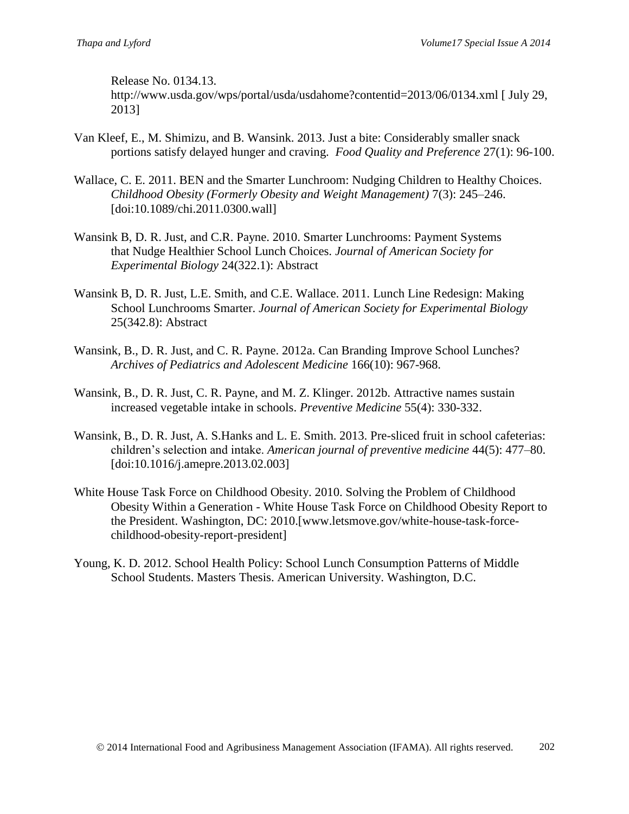Release No. 0134.13.

<http://www.usda.gov/wps/portal/usda/usdahome?contentid=2013/06/0134.xml> [ July 29, 2013]

- Van Kleef, E., M. Shimizu, and B. Wansink. 2013. Just a bite: Considerably smaller snack portions satisfy delayed hunger and craving. *Food Quality and Preference* 27(1): 96-100.
- Wallace, C. E. 2011. BEN and the Smarter Lunchroom: Nudging Children to Healthy Choices. *Childhood Obesity (Formerly Obesity and Weight Management)* 7(3): 245–246. [doi:10.1089/chi.2011.0300.wall]
- Wansink B, D. R. Just, and C.R. Payne. 2010. Smarter Lunchrooms: Payment Systems that Nudge Healthier School Lunch Choices. *Journal of American Society for Experimental Biology* 24(322.1): Abstract
- Wansink B, D. R. Just, L.E. Smith, and C.E. Wallace. 2011. Lunch Line Redesign: Making School Lunchrooms Smarter. *Journal of American Society for Experimental Biology* 25(342.8): Abstract
- Wansink, B., D. R. Just, and C. R. Payne. 2012a. Can Branding Improve School Lunches? *Archives of Pediatrics and Adolescent Medicine* 166(10): 967-968.
- Wansink, B., D. R. Just, C. R. Payne, and M. Z. Klinger. 2012b. Attractive names sustain increased vegetable intake in schools. *Preventive Medicine* 55(4): 330-332.
- Wansink, B., D. R. Just, A. S.Hanks and L. E. Smith. 2013. Pre-sliced fruit in school cafeterias: children's selection and intake. *American journal of preventive medicine* 44(5): 477–80. [doi:10.1016/j.amepre.2013.02.003]
- White House Task Force on Childhood Obesity. 2010. Solving the Problem of Childhood Obesity Within a Generation - White House Task Force on Childhood Obesity Report to the President. Washington, DC: 2010.[www.letsmove.gov/white-house-task-forcechildhood-obesity-report-president]
- Young, K. D. 2012. School Health Policy: School Lunch Consumption Patterns of Middle School Students. Masters Thesis. American University. Washington, D.C.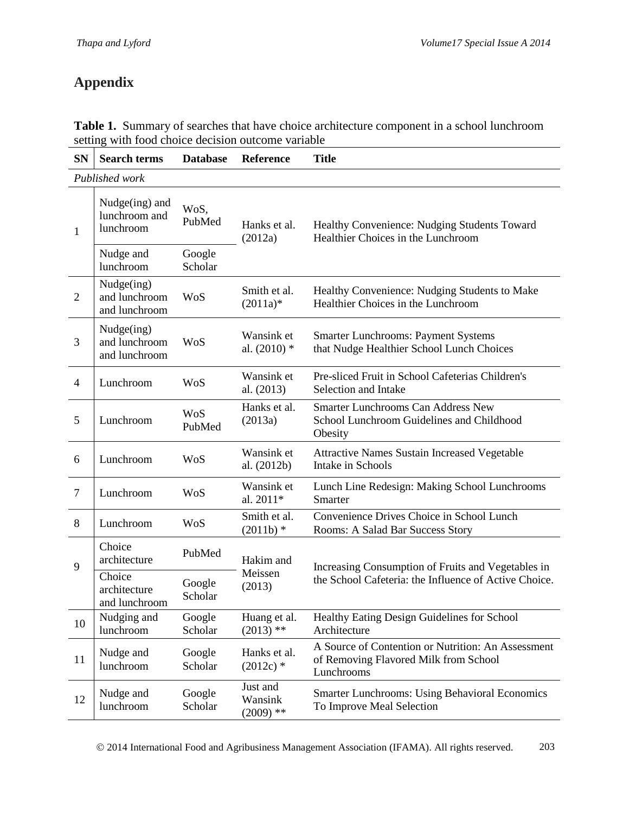# **Appendix**

| <b>SN</b>      | <b>Search terms</b>                          | <b>Database</b>   | Reference                          | <b>Title</b>                                                                                                |  |
|----------------|----------------------------------------------|-------------------|------------------------------------|-------------------------------------------------------------------------------------------------------------|--|
|                | Published work                               |                   |                                    |                                                                                                             |  |
| 1              | Nudge(ing) and<br>lunchroom and<br>lunchroom | WoS,<br>PubMed    | Hanks et al.<br>(2012a)            | Healthy Convenience: Nudging Students Toward<br>Healthier Choices in the Lunchroom                          |  |
|                | Nudge and<br>lunchroom                       | Google<br>Scholar |                                    |                                                                                                             |  |
| $\overline{2}$ | Nudge(ing)<br>and lunchroom<br>and lunchroom | WoS               | Smith et al.<br>$(2011a)*$         | Healthy Convenience: Nudging Students to Make<br>Healthier Choices in the Lunchroom                         |  |
| 3              | Nudge(ing)<br>and lunchroom<br>and lunchroom | <b>WoS</b>        | Wansink et<br>al. $(2010)$ *       | <b>Smarter Lunchrooms: Payment Systems</b><br>that Nudge Healthier School Lunch Choices                     |  |
| $\overline{4}$ | Lunchroom                                    | WoS               | Wansink et<br>al. (2013)           | Pre-sliced Fruit in School Cafeterias Children's<br>Selection and Intake                                    |  |
| 5              | Lunchroom                                    | WoS<br>PubMed     | Hanks et al.<br>(2013a)            | <b>Smarter Lunchrooms Can Address New</b><br>School Lunchroom Guidelines and Childhood<br>Obesity           |  |
| 6              | Lunchroom                                    | WoS               | Wansink et<br>al. (2012b)          | <b>Attractive Names Sustain Increased Vegetable</b><br>Intake in Schools                                    |  |
| $\overline{7}$ | Lunchroom                                    | WoS               | Wansink et<br>al. 2011*            | Lunch Line Redesign: Making School Lunchrooms<br>Smarter                                                    |  |
| 8              | Lunchroom                                    | WoS               | Smith et al.<br>$(2011b)$ *        | Convenience Drives Choice in School Lunch<br>Rooms: A Salad Bar Success Story                               |  |
| 9              | Choice<br>architecture                       | PubMed            | Hakim and<br>Meissen<br>(2013)     | Increasing Consumption of Fruits and Vegetables in<br>the School Cafeteria: the Influence of Active Choice. |  |
|                | Choice<br>architecture<br>and lunchroom      | Google<br>Scholar |                                    |                                                                                                             |  |
| 10             | Nudging and<br>lunchroom                     | Google<br>Scholar | Huang et al.<br>$(2013)$ **        | Healthy Eating Design Guidelines for School<br>Architecture                                                 |  |
| 11             | Nudge and<br>lunchroom                       | Google<br>Scholar | Hanks et al.<br>$(2012c)$ *        | A Source of Contention or Nutrition: An Assessment<br>of Removing Flavored Milk from School<br>Lunchrooms   |  |
| 12             | Nudge and<br>lunchroom                       | Google<br>Scholar | Just and<br>Wansink<br>$(2009)$ ** | <b>Smarter Lunchrooms: Using Behavioral Economics</b><br>To Improve Meal Selection                          |  |

**Table 1.** Summary of searches that have choice architecture component in a school lunchroom setting with food choice decision outcome variable

2014 International Food and Agribusiness Management Association (IFAMA). All rights reserved. 203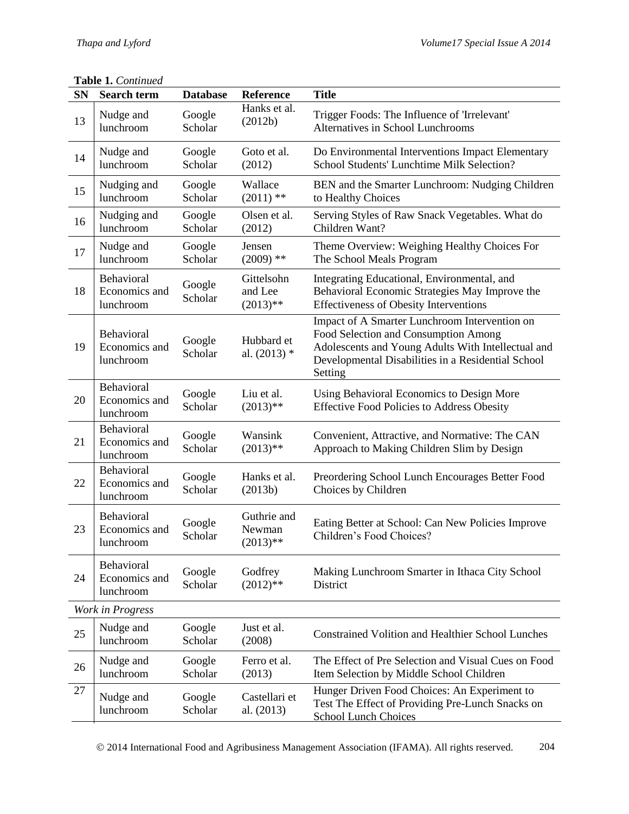#### **Table 1.** *Continued*

| <b>SN</b>        | <b>Search term</b>                       | <b>Database</b>   | Reference                           | <b>Title</b>                                                                                                                                                                                                 |
|------------------|------------------------------------------|-------------------|-------------------------------------|--------------------------------------------------------------------------------------------------------------------------------------------------------------------------------------------------------------|
| 13               | Nudge and<br>lunchroom                   | Google<br>Scholar | Hanks et al.<br>(2012b)             | Trigger Foods: The Influence of 'Irrelevant'<br>Alternatives in School Lunchrooms                                                                                                                            |
| 14               | Nudge and<br>lunchroom                   | Google<br>Scholar | Goto et al.<br>(2012)               | Do Environmental Interventions Impact Elementary<br>School Students' Lunchtime Milk Selection?                                                                                                               |
| 15               | Nudging and<br>lunchroom                 | Google<br>Scholar | Wallace<br>$(2011)$ **              | BEN and the Smarter Lunchroom: Nudging Children<br>to Healthy Choices                                                                                                                                        |
| 16               | Nudging and<br>lunchroom                 | Google<br>Scholar | Olsen et al.<br>(2012)              | Serving Styles of Raw Snack Vegetables. What do<br>Children Want?                                                                                                                                            |
| 17               | Nudge and<br>lunchroom                   | Google<br>Scholar | Jensen<br>$(2009)$ **               | Theme Overview: Weighing Healthy Choices For<br>The School Meals Program                                                                                                                                     |
| 18               | Behavioral<br>Economics and<br>lunchroom | Google<br>Scholar | Gittelsohn<br>and Lee<br>$(2013)**$ | Integrating Educational, Environmental, and<br>Behavioral Economic Strategies May Improve the<br><b>Effectiveness of Obesity Interventions</b>                                                               |
| 19               | Behavioral<br>Economics and<br>lunchroom | Google<br>Scholar | Hubbard et<br>al. $(2013)$ *        | Impact of A Smarter Lunchroom Intervention on<br>Food Selection and Consumption Among<br>Adolescents and Young Adults With Intellectual and<br>Developmental Disabilities in a Residential School<br>Setting |
| 20               | Behavioral<br>Economics and<br>lunchroom | Google<br>Scholar | Liu et al.<br>$(2013)$ **           | Using Behavioral Economics to Design More<br><b>Effective Food Policies to Address Obesity</b>                                                                                                               |
| 21               | Behavioral<br>Economics and<br>lunchroom | Google<br>Scholar | Wansink<br>$(2013)$ **              | Convenient, Attractive, and Normative: The CAN<br>Approach to Making Children Slim by Design                                                                                                                 |
| 22               | Behavioral<br>Economics and<br>lunchroom | Google<br>Scholar | Hanks et al.<br>(2013b)             | Preordering School Lunch Encourages Better Food<br>Choices by Children                                                                                                                                       |
| 23               | Behavioral<br>Economics and<br>lunchroom | Google<br>Scholar | Guthrie and<br>Newman<br>$(2013)**$ | Eating Better at School: Can New Policies Improve<br>Children's Food Choices?                                                                                                                                |
| 24               | Behavioral<br>Economics and<br>lunchroom | Google<br>Scholar | Godfrey<br>$(2012)$ **              | Making Lunchroom Smarter in Ithaca City School<br>District                                                                                                                                                   |
| Work in Progress |                                          |                   |                                     |                                                                                                                                                                                                              |
| 25               | Nudge and<br>lunchroom                   | Google<br>Scholar | Just et al.<br>(2008)               | <b>Constrained Volition and Healthier School Lunches</b>                                                                                                                                                     |
| 26               | Nudge and<br>lunchroom                   | Google<br>Scholar | Ferro et al.<br>(2013)              | The Effect of Pre Selection and Visual Cues on Food<br>Item Selection by Middle School Children                                                                                                              |
| 27               | Nudge and<br>lunchroom                   | Google<br>Scholar | Castellari et<br>al. (2013)         | Hunger Driven Food Choices: An Experiment to<br>Test The Effect of Providing Pre-Lunch Snacks on<br><b>School Lunch Choices</b>                                                                              |

2014 International Food and Agribusiness Management Association (IFAMA). All rights reserved. 204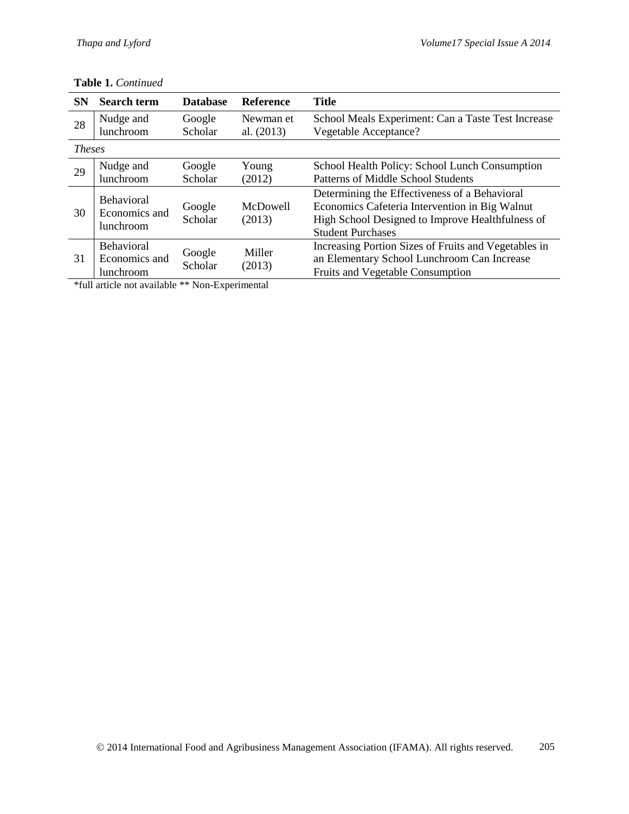| <b>SN</b>     | <b>Search term</b>                              | <b>Database</b>   | <b>Reference</b>        | <b>Title</b>                                                                                                                                                                    |
|---------------|-------------------------------------------------|-------------------|-------------------------|---------------------------------------------------------------------------------------------------------------------------------------------------------------------------------|
| 28            | Nudge and<br>lunchroom                          | Google<br>Scholar | Newman et<br>al. (2013) | School Meals Experiment: Can a Taste Test Increase<br>Vegetable Acceptance?                                                                                                     |
| <b>Theses</b> |                                                 |                   |                         |                                                                                                                                                                                 |
| 29            | Nudge and<br>lunchroom                          | Google<br>Scholar | Young<br>(2012)         | School Health Policy: School Lunch Consumption<br>Patterns of Middle School Students                                                                                            |
| 30            | Behavioral<br>Economics and<br><i>lunchroom</i> | Google<br>Scholar | McDowell<br>(2013)      | Determining the Effectiveness of a Behavioral<br>Economics Cafeteria Intervention in Big Walnut<br>High School Designed to Improve Healthfulness of<br><b>Student Purchases</b> |
| 31            | <b>Behavioral</b><br>Economics and<br>lunchroom | Google<br>Scholar | Miller<br>(2013)        | Increasing Portion Sizes of Fruits and Vegetables in<br>an Elementary School Lunchroom Can Increase<br><b>Fruits and Vegetable Consumption</b>                                  |

#### **Table 1.** *Continued*

\*full article not available \*\* Non-Experimental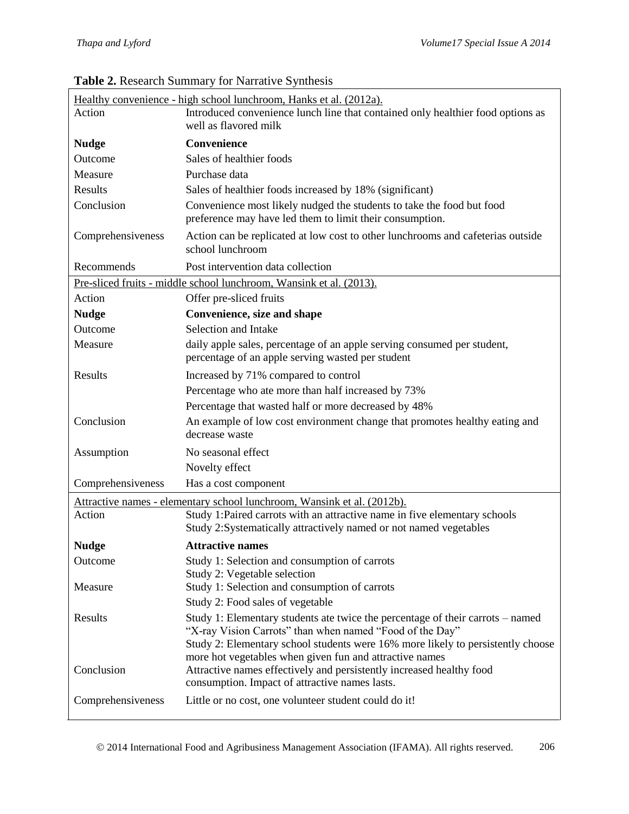| Healthy convenience - high school lunchroom, Hanks et al. (2012a).<br>Introduced convenience lunch line that contained only healthier food options as<br>Action<br>well as flavored milk |                                                                                                                                                                                                                                                                                          |  |
|------------------------------------------------------------------------------------------------------------------------------------------------------------------------------------------|------------------------------------------------------------------------------------------------------------------------------------------------------------------------------------------------------------------------------------------------------------------------------------------|--|
| <b>Nudge</b>                                                                                                                                                                             | Convenience                                                                                                                                                                                                                                                                              |  |
| Outcome                                                                                                                                                                                  | Sales of healthier foods                                                                                                                                                                                                                                                                 |  |
| Measure                                                                                                                                                                                  | Purchase data                                                                                                                                                                                                                                                                            |  |
| Results                                                                                                                                                                                  | Sales of healthier foods increased by 18% (significant)                                                                                                                                                                                                                                  |  |
| Conclusion                                                                                                                                                                               | Convenience most likely nudged the students to take the food but food<br>preference may have led them to limit their consumption.                                                                                                                                                        |  |
| Comprehensiveness                                                                                                                                                                        | Action can be replicated at low cost to other lunchrooms and cafeterias outside<br>school lunchroom                                                                                                                                                                                      |  |
| Recommends                                                                                                                                                                               | Post intervention data collection                                                                                                                                                                                                                                                        |  |
|                                                                                                                                                                                          | Pre-sliced fruits - middle school lunchroom, Wansink et al. (2013).                                                                                                                                                                                                                      |  |
| Action                                                                                                                                                                                   | Offer pre-sliced fruits                                                                                                                                                                                                                                                                  |  |
| <b>Nudge</b>                                                                                                                                                                             | Convenience, size and shape                                                                                                                                                                                                                                                              |  |
| Outcome                                                                                                                                                                                  | Selection and Intake                                                                                                                                                                                                                                                                     |  |
| Measure                                                                                                                                                                                  | daily apple sales, percentage of an apple serving consumed per student,<br>percentage of an apple serving wasted per student                                                                                                                                                             |  |
| Results                                                                                                                                                                                  | Increased by 71% compared to control                                                                                                                                                                                                                                                     |  |
|                                                                                                                                                                                          | Percentage who ate more than half increased by 73%                                                                                                                                                                                                                                       |  |
|                                                                                                                                                                                          | Percentage that wasted half or more decreased by 48%                                                                                                                                                                                                                                     |  |
| Conclusion                                                                                                                                                                               | An example of low cost environment change that promotes healthy eating and<br>decrease waste                                                                                                                                                                                             |  |
| Assumption                                                                                                                                                                               | No seasonal effect                                                                                                                                                                                                                                                                       |  |
|                                                                                                                                                                                          | Novelty effect                                                                                                                                                                                                                                                                           |  |
| Comprehensiveness                                                                                                                                                                        | Has a cost component                                                                                                                                                                                                                                                                     |  |
|                                                                                                                                                                                          | Attractive names - elementary school lunchroom, Wansink et al. (2012b).                                                                                                                                                                                                                  |  |
| Action                                                                                                                                                                                   | Study 1: Paired carrots with an attractive name in five elementary schools<br>Study 2:Systematically attractively named or not named vegetables                                                                                                                                          |  |
| <b>Nudge</b>                                                                                                                                                                             | <b>Attractive names</b>                                                                                                                                                                                                                                                                  |  |
| Outcome                                                                                                                                                                                  | Study 1: Selection and consumption of carrots<br>Study 2: Vegetable selection                                                                                                                                                                                                            |  |
| Measure                                                                                                                                                                                  | Study 1: Selection and consumption of carrots<br>Study 2: Food sales of vegetable                                                                                                                                                                                                        |  |
| Results                                                                                                                                                                                  | Study 1: Elementary students ate twice the percentage of their carrots - named<br>"X-ray Vision Carrots" than when named "Food of the Day"<br>Study 2: Elementary school students were 16% more likely to persistently choose<br>more hot vegetables when given fun and attractive names |  |
| Conclusion                                                                                                                                                                               | Attractive names effectively and persistently increased healthy food<br>consumption. Impact of attractive names lasts.                                                                                                                                                                   |  |
| Comprehensiveness                                                                                                                                                                        | Little or no cost, one volunteer student could do it!                                                                                                                                                                                                                                    |  |

## **Table 2.** Research Summary for Narrative Synthesis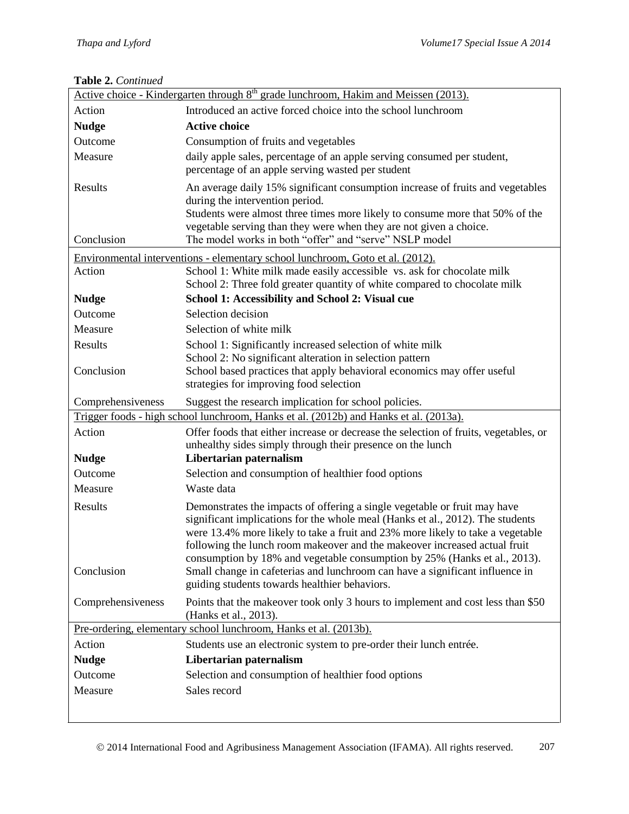#### **Table 2.** *Continued*

| Active choice - Kindergarten through 8 <sup>th</sup> grade lunchroom, Hakim and Meissen (2013).                                                                                                                                                 |                                                                                                                                                                                                                                                                                                                                                                                                                                                                                                                                          |  |  |
|-------------------------------------------------------------------------------------------------------------------------------------------------------------------------------------------------------------------------------------------------|------------------------------------------------------------------------------------------------------------------------------------------------------------------------------------------------------------------------------------------------------------------------------------------------------------------------------------------------------------------------------------------------------------------------------------------------------------------------------------------------------------------------------------------|--|--|
| Action                                                                                                                                                                                                                                          | Introduced an active forced choice into the school lunchroom                                                                                                                                                                                                                                                                                                                                                                                                                                                                             |  |  |
| <b>Nudge</b>                                                                                                                                                                                                                                    | <b>Active choice</b>                                                                                                                                                                                                                                                                                                                                                                                                                                                                                                                     |  |  |
| Outcome                                                                                                                                                                                                                                         | Consumption of fruits and vegetables                                                                                                                                                                                                                                                                                                                                                                                                                                                                                                     |  |  |
| Measure                                                                                                                                                                                                                                         | daily apple sales, percentage of an apple serving consumed per student,<br>percentage of an apple serving wasted per student                                                                                                                                                                                                                                                                                                                                                                                                             |  |  |
| Results<br>Conclusion                                                                                                                                                                                                                           | An average daily 15% significant consumption increase of fruits and vegetables<br>during the intervention period.<br>Students were almost three times more likely to consume more that 50% of the<br>vegetable serving than they were when they are not given a choice.<br>The model works in both "offer" and "serve" NSLP model                                                                                                                                                                                                        |  |  |
|                                                                                                                                                                                                                                                 |                                                                                                                                                                                                                                                                                                                                                                                                                                                                                                                                          |  |  |
| Environmental interventions - elementary school lunchroom, Goto et al. (2012).<br>School 1: White milk made easily accessible vs. ask for chocolate milk<br>Action<br>School 2: Three fold greater quantity of white compared to chocolate milk |                                                                                                                                                                                                                                                                                                                                                                                                                                                                                                                                          |  |  |
| <b>Nudge</b>                                                                                                                                                                                                                                    | School 1: Accessibility and School 2: Visual cue                                                                                                                                                                                                                                                                                                                                                                                                                                                                                         |  |  |
| Outcome                                                                                                                                                                                                                                         | Selection decision                                                                                                                                                                                                                                                                                                                                                                                                                                                                                                                       |  |  |
| Measure                                                                                                                                                                                                                                         | Selection of white milk                                                                                                                                                                                                                                                                                                                                                                                                                                                                                                                  |  |  |
| Results<br>Conclusion                                                                                                                                                                                                                           | School 1: Significantly increased selection of white milk<br>School 2: No significant alteration in selection pattern<br>School based practices that apply behavioral economics may offer useful<br>strategies for improving food selection                                                                                                                                                                                                                                                                                              |  |  |
| Comprehensiveness                                                                                                                                                                                                                               | Suggest the research implication for school policies.                                                                                                                                                                                                                                                                                                                                                                                                                                                                                    |  |  |
|                                                                                                                                                                                                                                                 | Trigger foods - high school lunchroom, Hanks et al. (2012b) and Hanks et al. (2013a).                                                                                                                                                                                                                                                                                                                                                                                                                                                    |  |  |
| Action                                                                                                                                                                                                                                          | Offer foods that either increase or decrease the selection of fruits, vegetables, or<br>unhealthy sides simply through their presence on the lunch                                                                                                                                                                                                                                                                                                                                                                                       |  |  |
| <b>Nudge</b>                                                                                                                                                                                                                                    | Libertarian paternalism                                                                                                                                                                                                                                                                                                                                                                                                                                                                                                                  |  |  |
| Outcome                                                                                                                                                                                                                                         | Selection and consumption of healthier food options                                                                                                                                                                                                                                                                                                                                                                                                                                                                                      |  |  |
| Measure                                                                                                                                                                                                                                         | Waste data                                                                                                                                                                                                                                                                                                                                                                                                                                                                                                                               |  |  |
| Results<br>Conclusion                                                                                                                                                                                                                           | Demonstrates the impacts of offering a single vegetable or fruit may have<br>significant implications for the whole meal (Hanks et al., 2012). The students<br>were 13.4% more likely to take a fruit and 23% more likely to take a vegetable<br>following the lunch room makeover and the makeover increased actual fruit<br>consumption by 18% and vegetable consumption by 25% (Hanks et al., 2013).<br>Small change in cafeterias and lunchroom can have a significant influence in<br>guiding students towards healthier behaviors. |  |  |
| Comprehensiveness                                                                                                                                                                                                                               | Points that the makeover took only 3 hours to implement and cost less than \$50<br>(Hanks et al., 2013).                                                                                                                                                                                                                                                                                                                                                                                                                                 |  |  |
| Pre-ordering, elementary school lunchroom, Hanks et al. (2013b).                                                                                                                                                                                |                                                                                                                                                                                                                                                                                                                                                                                                                                                                                                                                          |  |  |
| Action                                                                                                                                                                                                                                          | Students use an electronic system to pre-order their lunch entrée.                                                                                                                                                                                                                                                                                                                                                                                                                                                                       |  |  |
| <b>Nudge</b>                                                                                                                                                                                                                                    | Libertarian paternalism                                                                                                                                                                                                                                                                                                                                                                                                                                                                                                                  |  |  |
| Outcome                                                                                                                                                                                                                                         | Selection and consumption of healthier food options                                                                                                                                                                                                                                                                                                                                                                                                                                                                                      |  |  |
| Measure                                                                                                                                                                                                                                         | Sales record                                                                                                                                                                                                                                                                                                                                                                                                                                                                                                                             |  |  |